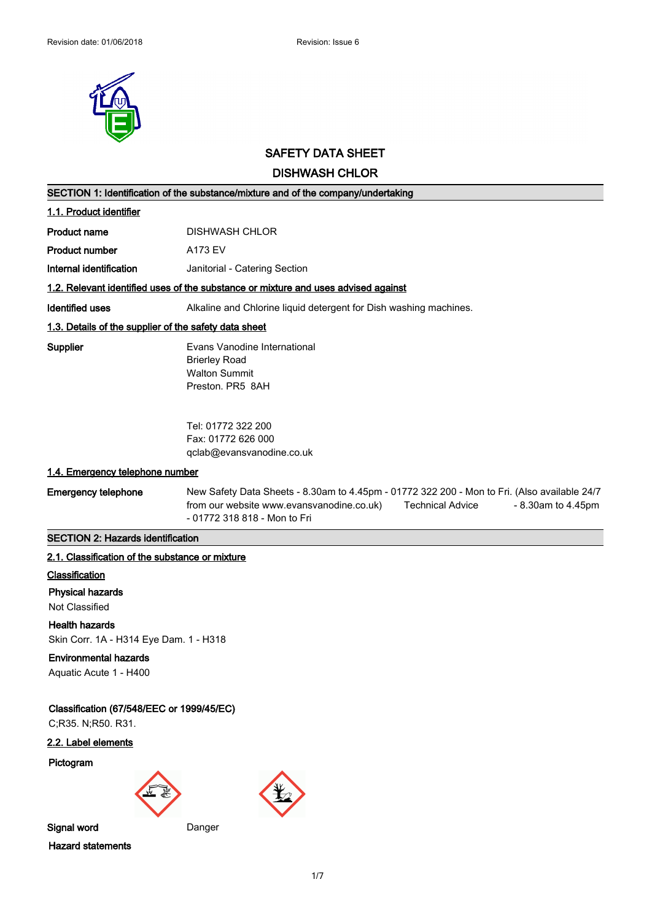

# **SAFETY DATA SHEET**

# **DISHWASH CHLOR**

|                                                                 | DIƏNVAƏN UNLUK                                                                                                                                                                                                                  |
|-----------------------------------------------------------------|---------------------------------------------------------------------------------------------------------------------------------------------------------------------------------------------------------------------------------|
|                                                                 | SECTION 1: Identification of the substance/mixture and of the company/undertaking                                                                                                                                               |
| 1.1. Product identifier                                         |                                                                                                                                                                                                                                 |
| Product name                                                    | <b>DISHWASH CHLOR</b>                                                                                                                                                                                                           |
| <b>Product number</b>                                           | A173 EV                                                                                                                                                                                                                         |
| Internal identification                                         | Janitorial - Catering Section                                                                                                                                                                                                   |
|                                                                 | 1.2. Relevant identified uses of the substance or mixture and uses advised against                                                                                                                                              |
| <b>Identified uses</b>                                          | Alkaline and Chlorine liquid detergent for Dish washing machines.                                                                                                                                                               |
| 1.3. Details of the supplier of the safety data sheet           |                                                                                                                                                                                                                                 |
| <b>Supplier</b>                                                 | Evans Vanodine International<br><b>Brierley Road</b><br><b>Walton Summit</b><br>Preston. PR5 8AH                                                                                                                                |
|                                                                 | Tel: 01772 322 200<br>Fax: 01772 626 000<br>qclab@evansvanodine.co.uk                                                                                                                                                           |
| 1.4. Emergency telephone number                                 |                                                                                                                                                                                                                                 |
| <b>Emergency telephone</b>                                      | New Safety Data Sheets - 8.30am to 4.45pm - 01772 322 200 - Mon to Fri. (Also available 24/7<br>from our website www.evansvanodine.co.uk)<br><b>Technical Advice</b><br>$-8.30$ am to $4.45$ pm<br>- 01772 318 818 - Mon to Fri |
| <b>SECTION 2: Hazards identification</b>                        |                                                                                                                                                                                                                                 |
| 2.1. Classification of the substance or mixture                 |                                                                                                                                                                                                                                 |
| Classification                                                  |                                                                                                                                                                                                                                 |
| <b>Physical hazards</b><br>Not Classified                       |                                                                                                                                                                                                                                 |
| <b>Health hazards</b><br>Skin Corr. 1A - H314 Eye Dam. 1 - H318 |                                                                                                                                                                                                                                 |
| <b>Environmental hazards</b><br>Aquatic Acute 1 - H400          |                                                                                                                                                                                                                                 |
| Classification (67/548/EEC or 1999/45/EC)<br>C;R35. N;R50. R31. |                                                                                                                                                                                                                                 |

**2.2. Label elements**

**Pictogram**



**Hazard statements**

1/7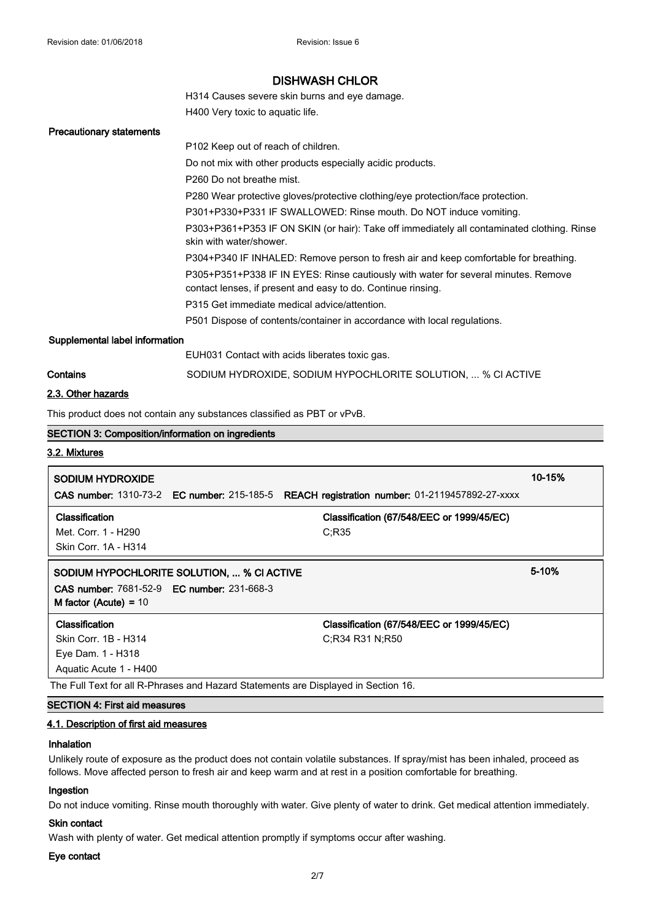H314 Causes severe skin burns and eye damage. H400 Very toxic to aquatic life.

**Precautionary statements**

|                                | P <sub>102</sub> Keep out of reach of children.                                                                                                    |
|--------------------------------|----------------------------------------------------------------------------------------------------------------------------------------------------|
|                                | Do not mix with other products especially acidic products.                                                                                         |
|                                | P <sub>260</sub> Do not breathe mist.                                                                                                              |
|                                | P280 Wear protective gloves/protective clothing/eye protection/face protection.                                                                    |
|                                | P301+P330+P331 IF SWALLOWED: Rinse mouth. Do NOT induce vomiting.                                                                                  |
|                                | P303+P361+P353 IF ON SKIN (or hair): Take off immediately all contaminated clothing. Rinse<br>skin with water/shower.                              |
|                                | P304+P340 IF INHALED: Remove person to fresh air and keep comfortable for breathing.                                                               |
|                                | P305+P351+P338 IF IN EYES: Rinse cautiously with water for several minutes. Remove<br>contact lenses, if present and easy to do. Continue rinsing. |
|                                | P315 Get immediate medical advice/attention.                                                                                                       |
|                                | P501 Dispose of contents/container in accordance with local regulations.                                                                           |
| Supplemental label information |                                                                                                                                                    |
|                                | EUH031 Contact with acids liberates toxic gas.                                                                                                     |
| Contains                       | SODIUM HYDROXIDE, SODIUM HYPOCHLORITE SOLUTION,  % CI ACTIVE                                                                                       |
| .                              |                                                                                                                                                    |

### **2.3. Other hazards**

This product does not contain any substances classified as PBT or vPvB.

# **SECTION 3: Composition/information on ingredients 3.2. Mixtures SODIUM HYDROXIDE 10-15% CAS number:** 1310-73-2 **EC number:** 215-185-5 **REACH registration number:** 01-2119457892-27-xxxx **Classification Classification (67/548/EEC or 1999/45/EC)** Met. Corr. 1 - H290 C;R35 Skin Corr. 1A - H314 **SODIUM HYPOCHLORITE SOLUTION, ... % Cl ACTIVE 5-10% CAS number:** 7681-52-9 **EC number:** 231-668-3 **M factor (Acute) =** 10 **Classification Classification (67/548/EEC or 1999/45/EC)** Skin Corr. 1B - H314 C;R34 R31 N;R50 Eye Dam. 1 - H318 Aquatic Acute 1 - H400 The Full Text for all R-Phrases and Hazard Statements are Displayed in Section 16. **SECTION 4: First aid measures**

#### **4.1. Description of first aid measures**

### **Inhalation**

Unlikely route of exposure as the product does not contain volatile substances. If spray/mist has been inhaled, proceed as follows. Move affected person to fresh air and keep warm and at rest in a position comfortable for breathing.

### **Ingestion**

Do not induce vomiting. Rinse mouth thoroughly with water. Give plenty of water to drink. Get medical attention immediately.

# **Skin contact**

Wash with plenty of water. Get medical attention promptly if symptoms occur after washing.

# **Eye contact**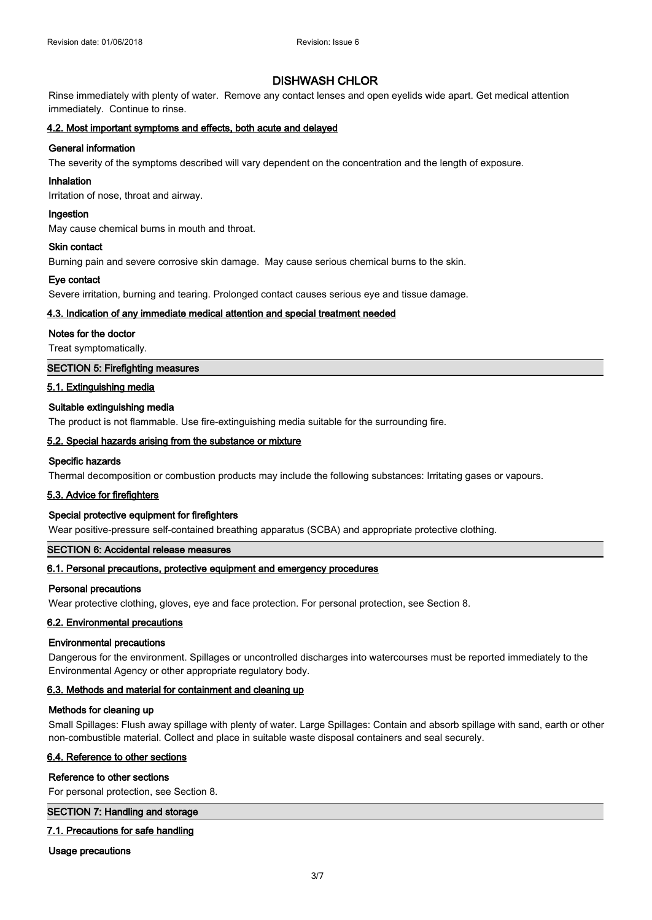Rinse immediately with plenty of water. Remove any contact lenses and open eyelids wide apart. Get medical attention immediately. Continue to rinse.

### **4.2. Most important symptoms and effects, both acute and delayed**

# **General information**

The severity of the symptoms described will vary dependent on the concentration and the length of exposure.

### **Inhalation**

Irritation of nose, throat and airway.

### **Ingestion**

May cause chemical burns in mouth and throat.

### **Skin contact**

Burning pain and severe corrosive skin damage. May cause serious chemical burns to the skin.

### **Eye contact**

Severe irritation, burning and tearing. Prolonged contact causes serious eye and tissue damage.

### **4.3. Indication of any immediate medical attention and special treatment needed**

### **Notes for the doctor**

Treat symptomatically.

### **SECTION 5: Firefighting measures**

### **5.1. Extinguishing media**

### **Suitable extinguishing media**

The product is not flammable. Use fire-extinguishing media suitable for the surrounding fire.

### **5.2. Special hazards arising from the substance or mixture**

# **Specific hazards**

Thermal decomposition or combustion products may include the following substances: Irritating gases or vapours.

# **5.3. Advice for firefighters**

# **Special protective equipment for firefighters**

Wear positive-pressure self-contained breathing apparatus (SCBA) and appropriate protective clothing.

# **SECTION 6: Accidental release measures**

# **6.1. Personal precautions, protective equipment and emergency procedures**

### **Personal precautions**

Wear protective clothing, gloves, eye and face protection. For personal protection, see Section 8.

### **6.2. Environmental precautions**

### **Environmental precautions**

Dangerous for the environment. Spillages or uncontrolled discharges into watercourses must be reported immediately to the Environmental Agency or other appropriate regulatory body.

# **6.3. Methods and material for containment and cleaning up**

### **Methods for cleaning up**

Small Spillages: Flush away spillage with plenty of water. Large Spillages: Contain and absorb spillage with sand, earth or other non-combustible material. Collect and place in suitable waste disposal containers and seal securely.

### **6.4. Reference to other sections**

### **Reference to other sections**

For personal protection, see Section 8.

### **SECTION 7: Handling and storage**

# **7.1. Precautions for safe handling**

**Usage precautions**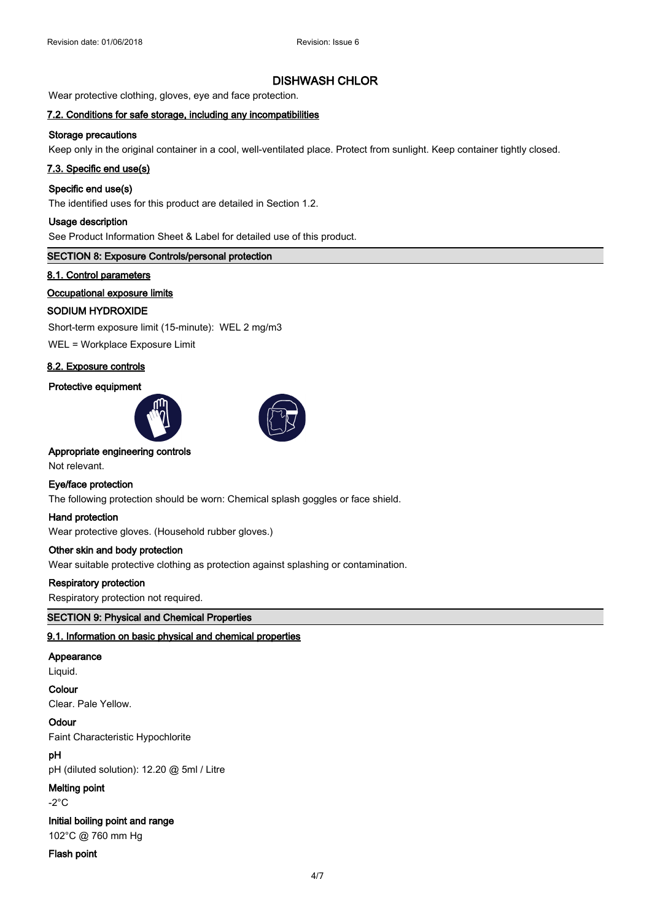Wear protective clothing, gloves, eye and face protection.

# **7.2. Conditions for safe storage, including any incompatibilities**

# **Storage precautions**

Keep only in the original container in a cool, well-ventilated place. Protect from sunlight. Keep container tightly closed.

### **7.3. Specific end use(s)**

# **Specific end use(s)**

The identified uses for this product are detailed in Section 1.2.

### **Usage description**

See Product Information Sheet & Label for detailed use of this product.

# **SECTION 8: Exposure Controls/personal protection**

### **8.1. Control parameters**

### **Occupational exposure limits**

# **SODIUM HYDROXIDE**

Short-term exposure limit (15-minute): WEL 2 mg/m3

WEL = Workplace Exposure Limit

# **8.2. Exposure controls**

# **Protective equipment**





### **Appropriate engineering controls**

Not relevant.

### **Eye/face protection**

The following protection should be worn: Chemical splash goggles or face shield.

### **Hand protection**

Wear protective gloves. (Household rubber gloves.)

# **Other skin and body protection**

Wear suitable protective clothing as protection against splashing or contamination.

### **Respiratory protection**

Respiratory protection not required.

### **SECTION 9: Physical and Chemical Properties**

### **9.1. Information on basic physical and chemical properties**

### **Appearance**

Liquid.

### **Colour**

Clear. Pale Yellow.

**Odour**

Faint Characteristic Hypochlorite

# **pH**

pH (diluted solution): 12.20 @ 5ml / Litre

# **Melting point**

-2°C

# **Initial boiling point and range**

102°C @ 760 mm Hg

### **Flash point**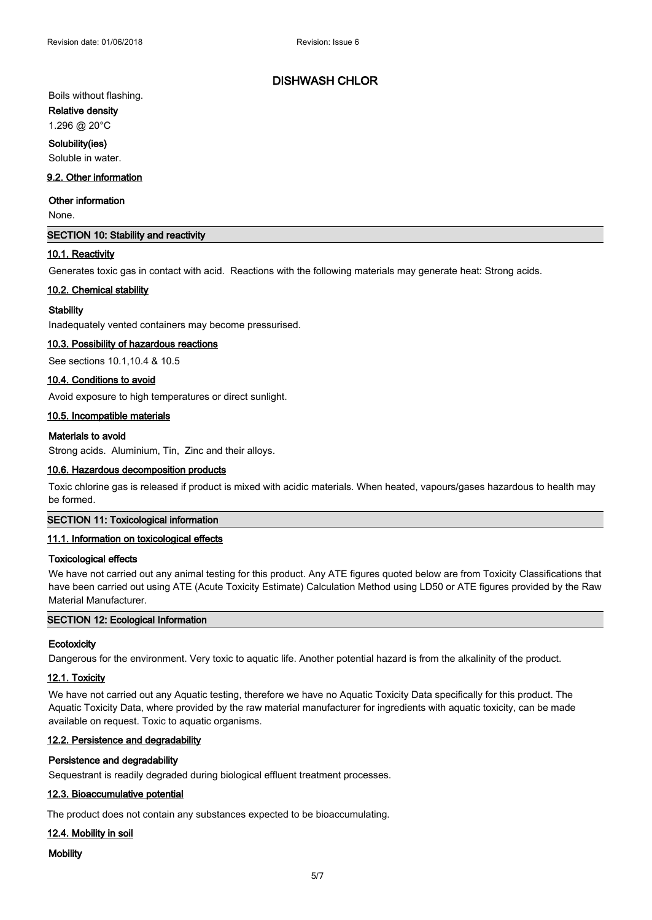# Boils without flashing.

**Relative density** 

# 1.296 @ 20°C

### **Solubility(ies)**

Soluble in water.

# **9.2. Other information**

### **Other information**

None.

# **SECTION 10: Stability and reactivity**

### **10.1. Reactivity**

Generates toxic gas in contact with acid. Reactions with the following materials may generate heat: Strong acids.

# **10.2. Chemical stability**

# **Stability**

Inadequately vented containers may become pressurised.

### **10.3. Possibility of hazardous reactions**

See sections 10.1,10.4 & 10.5

### **10.4. Conditions to avoid**

Avoid exposure to high temperatures or direct sunlight.

### **10.5. Incompatible materials**

### **Materials to avoid**

Strong acids. Aluminium, Tin, Zinc and their alloys.

### **10.6. Hazardous decomposition products**

Toxic chlorine gas is released if product is mixed with acidic materials. When heated, vapours/gases hazardous to health may be formed.

### **SECTION 11: Toxicological information**

### **11.1. Information on toxicological effects**

### **Toxicological effects**

We have not carried out any animal testing for this product. Any ATE figures quoted below are from Toxicity Classifications that have been carried out using ATE (Acute Toxicity Estimate) Calculation Method using LD50 or ATE figures provided by the Raw Material Manufacturer.

# **SECTION 12: Ecological Information**

### **Ecotoxicity**

Dangerous for the environment. Very toxic to aquatic life. Another potential hazard is from the alkalinity of the product.

# **12.1. Toxicity**

We have not carried out any Aquatic testing, therefore we have no Aquatic Toxicity Data specifically for this product. The Aquatic Toxicity Data, where provided by the raw material manufacturer for ingredients with aquatic toxicity, can be made available on request. Toxic to aquatic organisms.

### **12.2. Persistence and degradability**

# **Persistence and degradability**

Sequestrant is readily degraded during biological effluent treatment processes.

# **12.3. Bioaccumulative potential**

The product does not contain any substances expected to be bioaccumulating.

# **12.4. Mobility in soil**

### **Mobility**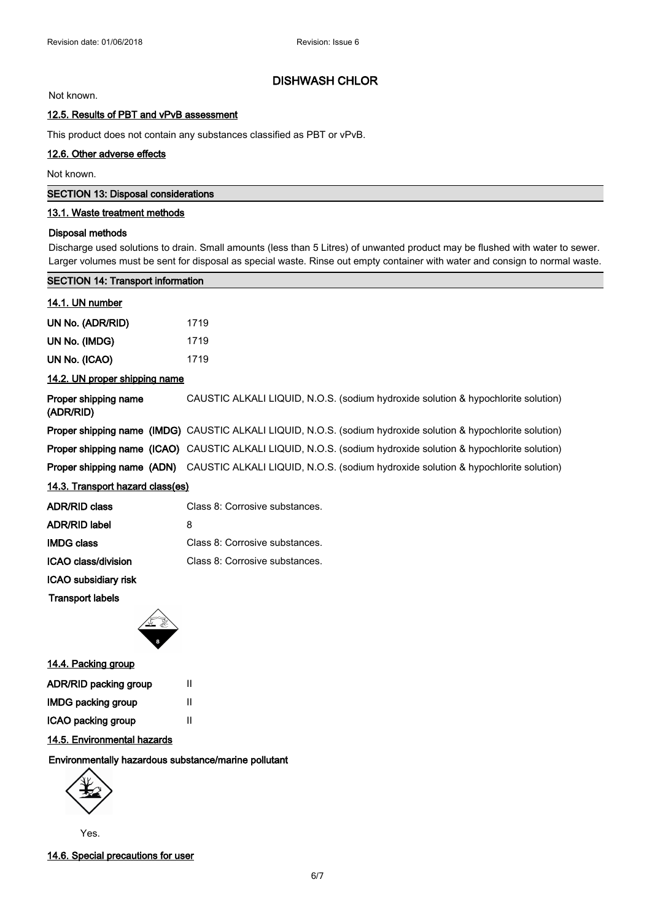Not known.

# **12.5. Results of PBT and vPvB assessment**

This product does not contain any substances classified as PBT or vPvB.

# **12.6. Other adverse effects**

Not known.

| SECTION 13: Disposal considerations |  |  |
|-------------------------------------|--|--|
|-------------------------------------|--|--|

# **13.1. Waste treatment methods**

### **Disposal methods**

Discharge used solutions to drain. Small amounts (less than 5 Litres) of unwanted product may be flushed with water to sewer. Larger volumes must be sent for disposal as special waste. Rinse out empty container with water and consign to normal waste.

| <b>SECTION 14: Transport information</b>                                                                             |  |  |  |  |
|----------------------------------------------------------------------------------------------------------------------|--|--|--|--|
|                                                                                                                      |  |  |  |  |
| 1719                                                                                                                 |  |  |  |  |
| 1719                                                                                                                 |  |  |  |  |
| 1719                                                                                                                 |  |  |  |  |
| 14.2. UN proper shipping name                                                                                        |  |  |  |  |
| CAUSTIC ALKALI LIQUID, N.O.S. (sodium hydroxide solution & hypochlorite solution)                                    |  |  |  |  |
| <b>Proper shipping name (IMDG)</b> CAUSTIC ALKALI LIQUID, N.O.S. (sodium hydroxide solution & hypochlorite solution) |  |  |  |  |
| Proper shipping name (ICAO) CAUSTIC ALKALI LIQUID, N.O.S. (sodium hydroxide solution & hypochlorite solution)        |  |  |  |  |
| Proper shipping name (ADN) CAUSTIC ALKALI LIQUID, N.O.S. (sodium hydroxide solution & hypochlorite solution)         |  |  |  |  |
| 14.3. Transport hazard class(es)                                                                                     |  |  |  |  |
| Class 8: Corrosive substances.                                                                                       |  |  |  |  |
| 8                                                                                                                    |  |  |  |  |
| Class 8: Corrosive substances.                                                                                       |  |  |  |  |
| Class 8: Corrosive substances.                                                                                       |  |  |  |  |
|                                                                                                                      |  |  |  |  |
|                                                                                                                      |  |  |  |  |
|                                                                                                                      |  |  |  |  |



# **14.4. Packing group**

| <b>ADR/RID packing group</b> | Ш |
|------------------------------|---|
| <b>IMDG packing group</b>    | Ш |
| ICAO packing group           | Ш |

# **14.5. Environmental hazards**

### **Environmentally hazardous substance/marine pollutant**



Yes.

**14.6. Special precautions for user**